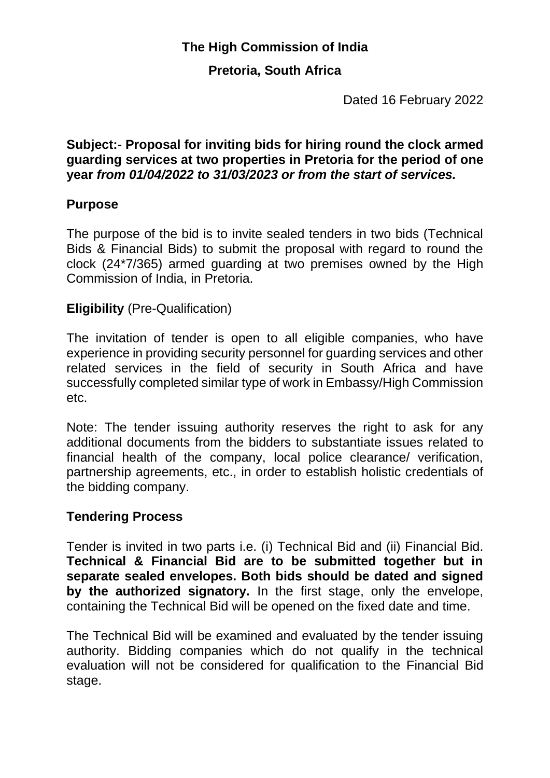### **The High Commission of India**

#### **Pretoria, South Africa**

Dated 16 February 2022

#### **Subject:- Proposal for inviting bids for hiring round the clock armed guarding services at two properties in Pretoria for the period of one year** *from 01/04/2022 to 31/03/2023 or from the start of services.*

#### **Purpose**

The purpose of the bid is to invite sealed tenders in two bids (Technical Bids & Financial Bids) to submit the proposal with regard to round the clock (24\*7/365) armed guarding at two premises owned by the High Commission of India, in Pretoria.

#### **Eligibility** (Pre-Qualification)

The invitation of tender is open to all eligible companies, who have experience in providing security personnel for guarding services and other related services in the field of security in South Africa and have successfully completed similar type of work in Embassy/High Commission etc.

Note: The tender issuing authority reserves the right to ask for any additional documents from the bidders to substantiate issues related to financial health of the company, local police clearance/ verification, partnership agreements, etc., in order to establish holistic credentials of the bidding company.

#### **Tendering Process**

Tender is invited in two parts i.e. (i) Technical Bid and (ii) Financial Bid. **Technical & Financial Bid are to be submitted together but in separate sealed envelopes. Both bids should be dated and signed by the authorized signatory.** In the first stage, only the envelope, containing the Technical Bid will be opened on the fixed date and time.

The Technical Bid will be examined and evaluated by the tender issuing authority. Bidding companies which do not qualify in the technical evaluation will not be considered for qualification to the Financial Bid stage.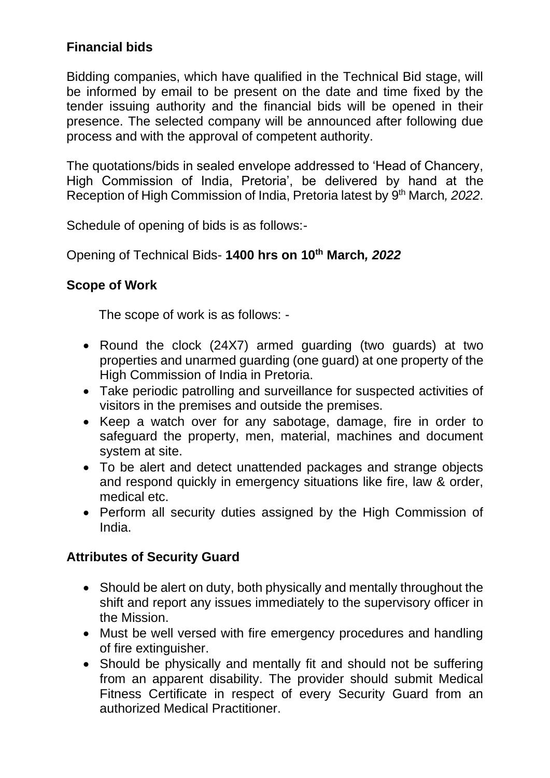### **Financial bids**

Bidding companies, which have qualified in the Technical Bid stage, will be informed by email to be present on the date and time fixed by the tender issuing authority and the financial bids will be opened in their presence. The selected company will be announced after following due process and with the approval of competent authority.

The quotations/bids in sealed envelope addressed to 'Head of Chancery, High Commission of India, Pretoria', be delivered by hand at the Reception of High Commission of India, Pretoria latest by 9 th March*, 2022*.

Schedule of opening of bids is as follows:-

Opening of Technical Bids- **1400 hrs on 10th March***, 2022*

#### **Scope of Work**

The scope of work is as follows: -

- Round the clock (24X7) armed guarding (two guards) at two properties and unarmed guarding (one guard) at one property of the High Commission of India in Pretoria.
- Take periodic patrolling and surveillance for suspected activities of visitors in the premises and outside the premises.
- Keep a watch over for any sabotage, damage, fire in order to safeguard the property, men, material, machines and document system at site.
- To be alert and detect unattended packages and strange objects and respond quickly in emergency situations like fire, law & order, medical etc.
- Perform all security duties assigned by the High Commission of India.

#### **Attributes of Security Guard**

- Should be alert on duty, both physically and mentally throughout the shift and report any issues immediately to the supervisory officer in the Mission.
- Must be well versed with fire emergency procedures and handling of fire extinguisher.
- Should be physically and mentally fit and should not be suffering from an apparent disability. The provider should submit Medical Fitness Certificate in respect of every Security Guard from an authorized Medical Practitioner.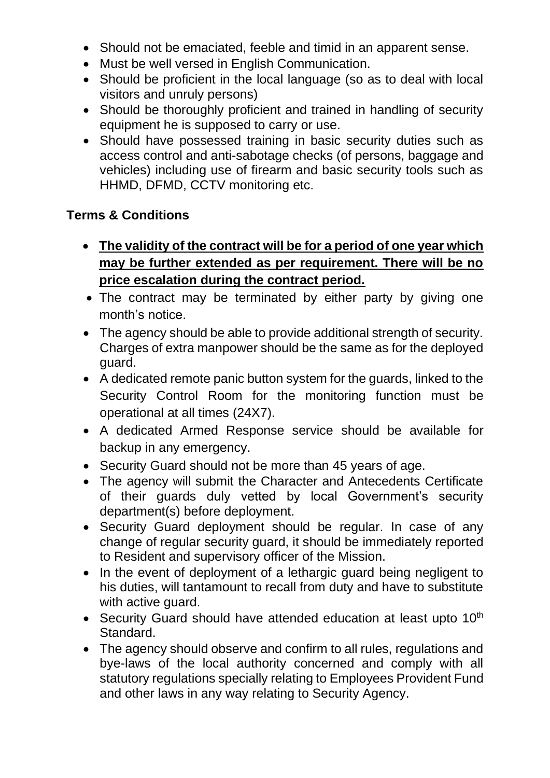- Should not be emaciated, feeble and timid in an apparent sense.
- Must be well versed in English Communication.
- Should be proficient in the local language (so as to deal with local visitors and unruly persons)
- Should be thoroughly proficient and trained in handling of security equipment he is supposed to carry or use.
- Should have possessed training in basic security duties such as access control and anti-sabotage checks (of persons, baggage and vehicles) including use of firearm and basic security tools such as HHMD, DFMD, CCTV monitoring etc.

#### **Terms & Conditions**

- **The validity of the contract will be for a period of one year which may be further extended as per requirement. There will be no price escalation during the contract period.**
- The contract may be terminated by either party by giving one month's notice.
- The agency should be able to provide additional strength of security. Charges of extra manpower should be the same as for the deployed guard.
- A dedicated remote panic button system for the guards, linked to the Security Control Room for the monitoring function must be operational at all times (24X7).
- A dedicated Armed Response service should be available for backup in any emergency.
- Security Guard should not be more than 45 years of age.
- The agency will submit the Character and Antecedents Certificate of their guards duly vetted by local Government's security department(s) before deployment.
- Security Guard deployment should be regular. In case of any change of regular security guard, it should be immediately reported to Resident and supervisory officer of the Mission.
- In the event of deployment of a lethargic guard being negligent to his duties, will tantamount to recall from duty and have to substitute with active guard.
- Security Guard should have attended education at least upto  $10<sup>th</sup>$ Standard.
- The agency should observe and confirm to all rules, regulations and bye-laws of the local authority concerned and comply with all statutory regulations specially relating to Employees Provident Fund and other laws in any way relating to Security Agency.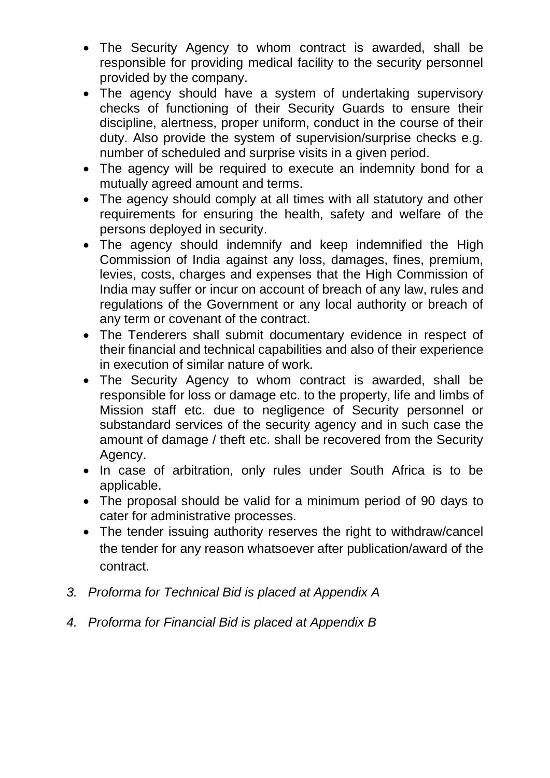- The Security Agency to whom contract is awarded, shall be responsible for providing medical facility to the security personnel provided by the company.
- The agency should have a system of undertaking supervisory checks of functioning of their Security Guards to ensure their discipline, alertness, proper uniform, conduct in the course of their duty. Also provide the system of supervision/surprise checks e.g. number of scheduled and surprise visits in a given period.
- The agency will be required to execute an indemnity bond for a mutually agreed amount and terms.
- The agency should comply at all times with all statutory and other requirements for ensuring the health, safety and welfare of the persons deployed in security.
- The agency should indemnify and keep indemnified the High Commission of India against any loss, damages, fines, premium, levies, costs, charges and expenses that the High Commission of India may suffer or incur on account of breach of any law, rules and regulations of the Government or any local authority or breach of any term or covenant of the contract.
- The Tenderers shall submit documentary evidence in respect of their financial and technical capabilities and also of their experience in execution of similar nature of work.
- The Security Agency to whom contract is awarded, shall be responsible for loss or damage etc. to the property, life and limbs of Mission staff etc. due to negligence of Security personnel or substandard services of the security agency and in such case the amount of damage / theft etc. shall be recovered from the Security Agency.
- In case of arbitration, only rules under South Africa is to be applicable.
- The proposal should be valid for a minimum period of 90 days to cater for administrative processes.
- The tender issuing authority reserves the right to withdraw/cancel the tender for any reason whatsoever after publication/award of the contract.
- *3. Proforma for Technical Bid is placed at Appendix A*
- *4. Proforma for Financial Bid is placed at Appendix B*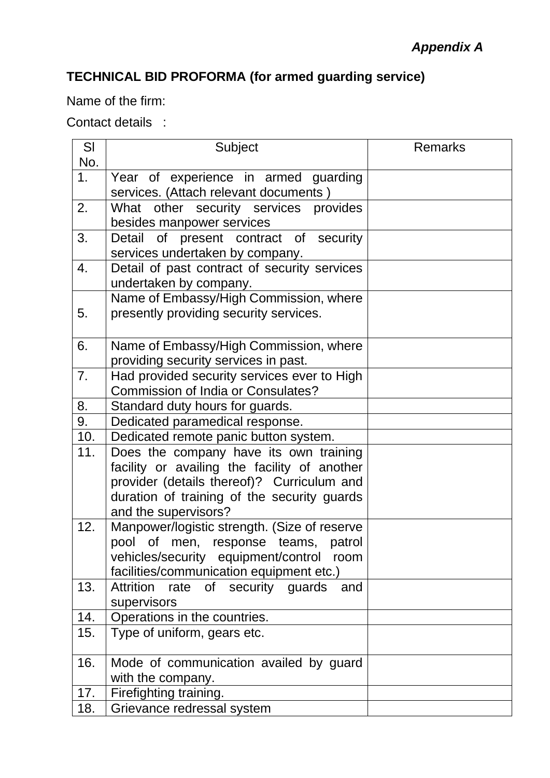# **TECHNICAL BID PROFORMA (for armed guarding service)**

Name of the firm:

## Contact details :

| SI  | Subject                                      | <b>Remarks</b> |  |  |
|-----|----------------------------------------------|----------------|--|--|
| No. |                                              |                |  |  |
| 1.  | Year of experience in armed guarding         |                |  |  |
|     | services. (Attach relevant documents)        |                |  |  |
| 2.  | What other security services provides        |                |  |  |
|     | besides manpower services                    |                |  |  |
| 3.  | Detail of present contract of security       |                |  |  |
|     | services undertaken by company.              |                |  |  |
| 4.  | Detail of past contract of security services |                |  |  |
|     | undertaken by company.                       |                |  |  |
|     | Name of Embassy/High Commission, where       |                |  |  |
| 5.  | presently providing security services.       |                |  |  |
|     |                                              |                |  |  |
| 6.  | Name of Embassy/High Commission, where       |                |  |  |
|     | providing security services in past.         |                |  |  |
| 7.  | Had provided security services ever to High  |                |  |  |
|     | <b>Commission of India or Consulates?</b>    |                |  |  |
| 8.  | Standard duty hours for guards.              |                |  |  |
| 9.  | Dedicated paramedical response.              |                |  |  |
| 10. | Dedicated remote panic button system.        |                |  |  |
| 11. | Does the company have its own training       |                |  |  |
|     | facility or availing the facility of another |                |  |  |
|     | provider (details thereof)? Curriculum and   |                |  |  |
|     | duration of training of the security guards  |                |  |  |
|     | and the supervisors?                         |                |  |  |
| 12. | Manpower/logistic strength. (Size of reserve |                |  |  |
|     | pool of men, response teams, patrol          |                |  |  |
|     | vehicles/security equipment/control<br>room  |                |  |  |
|     | facilities/communication equipment etc.)     |                |  |  |
| 13. | Attrition rate of security guards<br>and     |                |  |  |
|     | supervisors                                  |                |  |  |
| 14. | Operations in the countries.                 |                |  |  |
| 15. | Type of uniform, gears etc.                  |                |  |  |
| 16. | Mode of communication availed by guard       |                |  |  |
|     | with the company.                            |                |  |  |
| 17. | Firefighting training.                       |                |  |  |
| 18. | Grievance redressal system                   |                |  |  |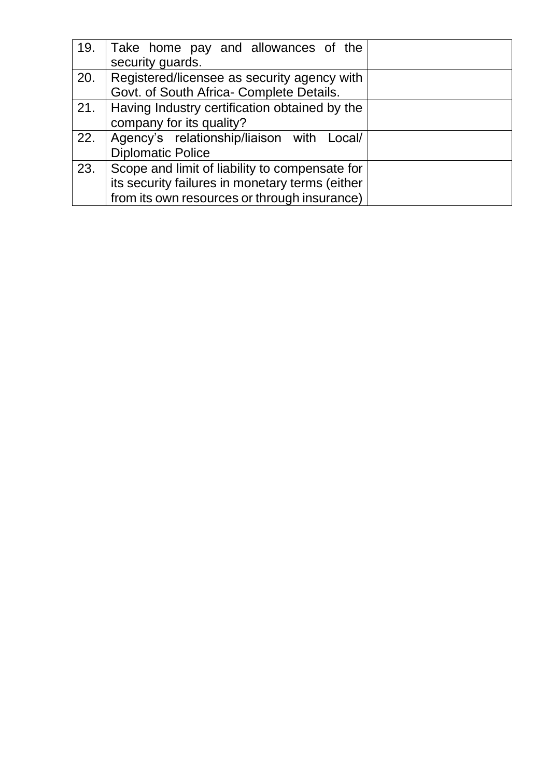| 19.   | Take home pay and allowances of the             |  |  |
|-------|-------------------------------------------------|--|--|
|       | security guards.                                |  |  |
| 20.   | Registered/licensee as security agency with     |  |  |
|       | Govt. of South Africa- Complete Details.        |  |  |
| . 21. | Having Industry certification obtained by the   |  |  |
|       | company for its quality?                        |  |  |
| 22.   | Agency's relationship/liaison with Local/       |  |  |
|       | <b>Diplomatic Police</b>                        |  |  |
| 23.   | Scope and limit of liability to compensate for  |  |  |
|       | its security failures in monetary terms (either |  |  |
|       | from its own resources or through insurance)    |  |  |